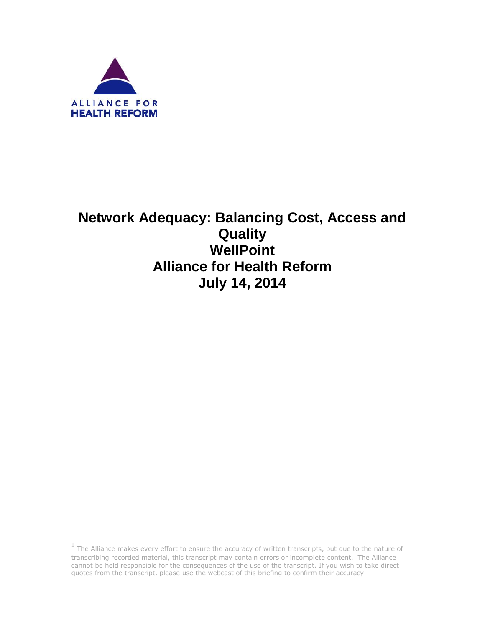

# **Network Adequacy: Balancing Cost, Access and Quality WellPoint Alliance for Health Reform July 14, 2014**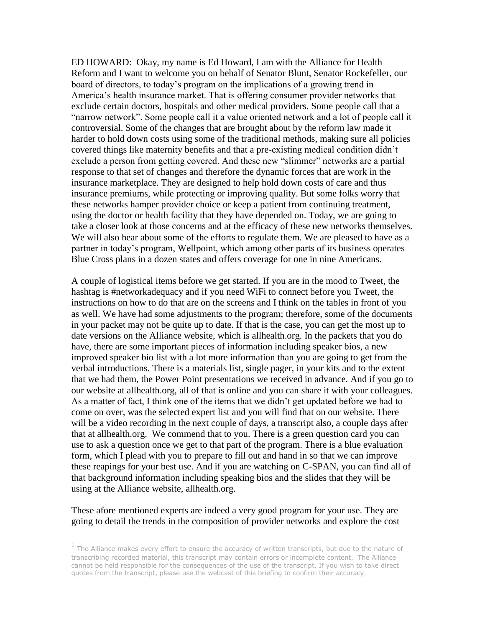ED HOWARD: Okay, my name is Ed Howard, I am with the Alliance for Health Reform and I want to welcome you on behalf of Senator Blunt, Senator Rockefeller, our board of directors, to today's program on the implications of a growing trend in America's health insurance market. That is offering consumer provider networks that exclude certain doctors, hospitals and other medical providers. Some people call that a "narrow network". Some people call it a value oriented network and a lot of people call it controversial. Some of the changes that are brought about by the reform law made it harder to hold down costs using some of the traditional methods, making sure all policies covered things like maternity benefits and that a pre-existing medical condition didn't exclude a person from getting covered. And these new "slimmer" networks are a partial response to that set of changes and therefore the dynamic forces that are work in the insurance marketplace. They are designed to help hold down costs of care and thus insurance premiums, while protecting or improving quality. But some folks worry that these networks hamper provider choice or keep a patient from continuing treatment, using the doctor or health facility that they have depended on. Today, we are going to take a closer look at those concerns and at the efficacy of these new networks themselves. We will also hear about some of the efforts to regulate them. We are pleased to have as a partner in today's program, Wellpoint, which among other parts of its business operates Blue Cross plans in a dozen states and offers coverage for one in nine Americans.

A couple of logistical items before we get started. If you are in the mood to Tweet, the hashtag is #networkadequacy and if you need WiFi to connect before you Tweet, the instructions on how to do that are on the screens and I think on the tables in front of you as well. We have had some adjustments to the program; therefore, some of the documents in your packet may not be quite up to date. If that is the case, you can get the most up to date versions on the Alliance website, which is allhealth.org. In the packets that you do have, there are some important pieces of information including speaker bios, a new improved speaker bio list with a lot more information than you are going to get from the verbal introductions. There is a materials list, single pager, in your kits and to the extent that we had them, the Power Point presentations we received in advance. And if you go to our website at allhealth.org, all of that is online and you can share it with your colleagues. As a matter of fact, I think one of the items that we didn't get updated before we had to come on over, was the selected expert list and you will find that on our website. There will be a video recording in the next couple of days, a transcript also, a couple days after that at allhealth.org. We commend that to you. There is a green question card you can use to ask a question once we get to that part of the program. There is a blue evaluation form, which I plead with you to prepare to fill out and hand in so that we can improve these reapings for your best use. And if you are watching on C-SPAN, you can find all of that background information including speaking bios and the slides that they will be using at the Alliance website, allhealth.org.

# These afore mentioned experts are indeed a very good program for your use. They are going to detail the trends in the composition of provider networks and explore the cost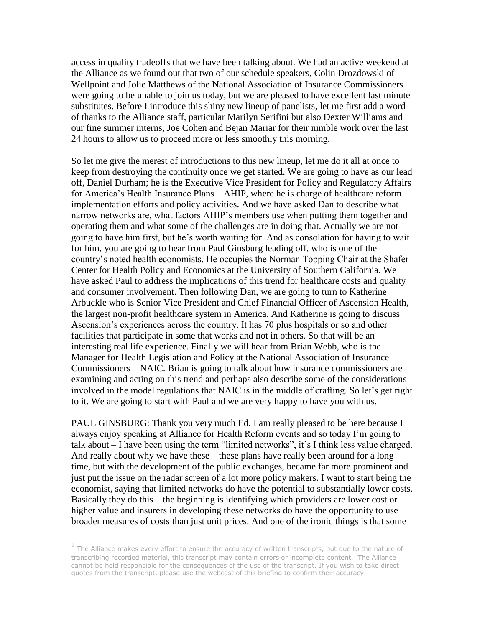access in quality tradeoffs that we have been talking about. We had an active weekend at the Alliance as we found out that two of our schedule speakers, Colin Drozdowski of Wellpoint and Jolie Matthews of the National Association of Insurance Commissioners were going to be unable to join us today, but we are pleased to have excellent last minute substitutes. Before I introduce this shiny new lineup of panelists, let me first add a word of thanks to the Alliance staff, particular Marilyn Serifini but also Dexter Williams and our fine summer interns, Joe Cohen and Bejan Mariar for their nimble work over the last 24 hours to allow us to proceed more or less smoothly this morning.

So let me give the merest of introductions to this new lineup, let me do it all at once to keep from destroying the continuity once we get started. We are going to have as our lead off, Daniel Durham; he is the Executive Vice President for Policy and Regulatory Affairs for America's Health Insurance Plans – AHIP, where he is charge of healthcare reform implementation efforts and policy activities. And we have asked Dan to describe what narrow networks are, what factors AHIP's members use when putting them together and operating them and what some of the challenges are in doing that. Actually we are not going to have him first, but he's worth waiting for. And as consolation for having to wait for him, you are going to hear from Paul Ginsburg leading off, who is one of the country's noted health economists. He occupies the Norman Topping Chair at the Shafer Center for Health Policy and Economics at the University of Southern California. We have asked Paul to address the implications of this trend for healthcare costs and quality and consumer involvement. Then following Dan, we are going to turn to Katherine Arbuckle who is Senior Vice President and Chief Financial Officer of Ascension Health, the largest non-profit healthcare system in America. And Katherine is going to discuss Ascension's experiences across the country. It has 70 plus hospitals or so and other facilities that participate in some that works and not in others. So that will be an interesting real life experience. Finally we will hear from Brian Webb, who is the Manager for Health Legislation and Policy at the National Association of Insurance Commissioners – NAIC. Brian is going to talk about how insurance commissioners are examining and acting on this trend and perhaps also describe some of the considerations involved in the model regulations that NAIC is in the middle of crafting. So let's get right to it. We are going to start with Paul and we are very happy to have you with us.

PAUL GINSBURG: Thank you very much Ed. I am really pleased to be here because I always enjoy speaking at Alliance for Health Reform events and so today I'm going to talk about – I have been using the term "limited networks", it's I think less value charged. And really about why we have these – these plans have really been around for a long time, but with the development of the public exchanges, became far more prominent and just put the issue on the radar screen of a lot more policy makers. I want to start being the economist, saying that limited networks do have the potential to substantially lower costs. Basically they do this – the beginning is identifying which providers are lower cost or higher value and insurers in developing these networks do have the opportunity to use broader measures of costs than just unit prices. And one of the ironic things is that some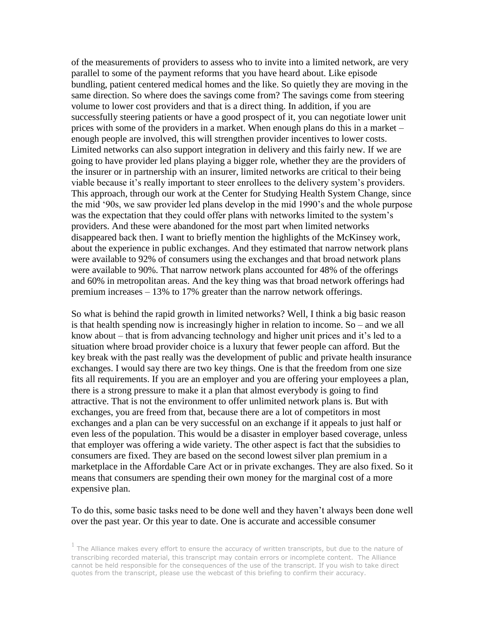of the measurements of providers to assess who to invite into a limited network, are very parallel to some of the payment reforms that you have heard about. Like episode bundling, patient centered medical homes and the like. So quietly they are moving in the same direction. So where does the savings come from? The savings come from steering volume to lower cost providers and that is a direct thing. In addition, if you are successfully steering patients or have a good prospect of it, you can negotiate lower unit prices with some of the providers in a market. When enough plans do this in a market – enough people are involved, this will strengthen provider incentives to lower costs. Limited networks can also support integration in delivery and this fairly new. If we are going to have provider led plans playing a bigger role, whether they are the providers of the insurer or in partnership with an insurer, limited networks are critical to their being viable because it's really important to steer enrollees to the delivery system's providers. This approach, through our work at the Center for Studying Health System Change, since the mid '90s, we saw provider led plans develop in the mid 1990's and the whole purpose was the expectation that they could offer plans with networks limited to the system's providers. And these were abandoned for the most part when limited networks disappeared back then. I want to briefly mention the highlights of the McKinsey work, about the experience in public exchanges. And they estimated that narrow network plans were available to 92% of consumers using the exchanges and that broad network plans were available to 90%. That narrow network plans accounted for 48% of the offerings and 60% in metropolitan areas. And the key thing was that broad network offerings had premium increases – 13% to 17% greater than the narrow network offerings.

So what is behind the rapid growth in limited networks? Well, I think a big basic reason is that health spending now is increasingly higher in relation to income. So – and we all know about – that is from advancing technology and higher unit prices and it's led to a situation where broad provider choice is a luxury that fewer people can afford. But the key break with the past really was the development of public and private health insurance exchanges. I would say there are two key things. One is that the freedom from one size fits all requirements. If you are an employer and you are offering your employees a plan, there is a strong pressure to make it a plan that almost everybody is going to find attractive. That is not the environment to offer unlimited network plans is. But with exchanges, you are freed from that, because there are a lot of competitors in most exchanges and a plan can be very successful on an exchange if it appeals to just half or even less of the population. This would be a disaster in employer based coverage, unless that employer was offering a wide variety. The other aspect is fact that the subsidies to consumers are fixed. They are based on the second lowest silver plan premium in a marketplace in the Affordable Care Act or in private exchanges. They are also fixed. So it means that consumers are spending their own money for the marginal cost of a more expensive plan.

### To do this, some basic tasks need to be done well and they haven't always been done well over the past year. Or this year to date. One is accurate and accessible consumer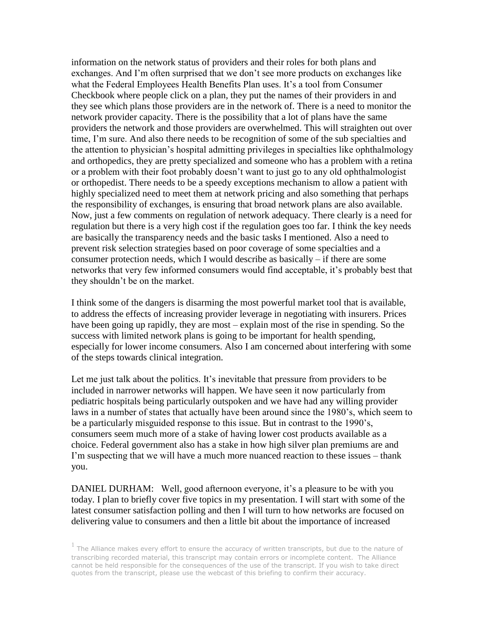information on the network status of providers and their roles for both plans and exchanges. And I'm often surprised that we don't see more products on exchanges like what the Federal Employees Health Benefits Plan uses. It's a tool from Consumer Checkbook where people click on a plan, they put the names of their providers in and they see which plans those providers are in the network of. There is a need to monitor the network provider capacity. There is the possibility that a lot of plans have the same providers the network and those providers are overwhelmed. This will straighten out over time, I'm sure. And also there needs to be recognition of some of the sub specialties and the attention to physician's hospital admitting privileges in specialties like ophthalmology and orthopedics, they are pretty specialized and someone who has a problem with a retina or a problem with their foot probably doesn't want to just go to any old ophthalmologist or orthopedist. There needs to be a speedy exceptions mechanism to allow a patient with highly specialized need to meet them at network pricing and also something that perhaps the responsibility of exchanges, is ensuring that broad network plans are also available. Now, just a few comments on regulation of network adequacy. There clearly is a need for regulation but there is a very high cost if the regulation goes too far. I think the key needs are basically the transparency needs and the basic tasks I mentioned. Also a need to prevent risk selection strategies based on poor coverage of some specialties and a consumer protection needs, which I would describe as basically – if there are some networks that very few informed consumers would find acceptable, it's probably best that they shouldn't be on the market.

I think some of the dangers is disarming the most powerful market tool that is available, to address the effects of increasing provider leverage in negotiating with insurers. Prices have been going up rapidly, they are most – explain most of the rise in spending. So the success with limited network plans is going to be important for health spending, especially for lower income consumers. Also I am concerned about interfering with some of the steps towards clinical integration.

Let me just talk about the politics. It's inevitable that pressure from providers to be included in narrower networks will happen. We have seen it now particularly from pediatric hospitals being particularly outspoken and we have had any willing provider laws in a number of states that actually have been around since the 1980's, which seem to be a particularly misguided response to this issue. But in contrast to the 1990's, consumers seem much more of a stake of having lower cost products available as a choice. Federal government also has a stake in how high silver plan premiums are and I'm suspecting that we will have a much more nuanced reaction to these issues – thank you.

DANIEL DURHAM: Well, good afternoon everyone, it's a pleasure to be with you today. I plan to briefly cover five topics in my presentation. I will start with some of the latest consumer satisfaction polling and then I will turn to how networks are focused on delivering value to consumers and then a little bit about the importance of increased

 $<sup>1</sup>$  The Alliance makes every effort to ensure the accuracy of written transcripts, but due to the nature of</sup> transcribing recorded material, this transcript may contain errors or incomplete content. The Alliance cannot be held responsible for the consequences of the use of the transcript. If you wish to take direct quotes from the transcript, please use the webcast of this briefing to confirm their accuracy.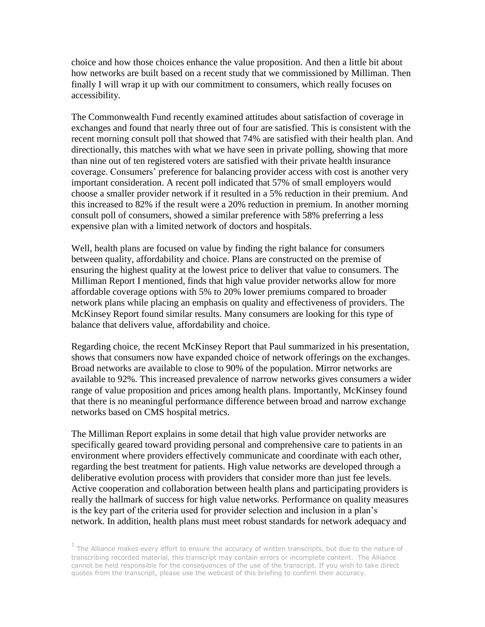choice and how those choices enhance the value proposition. And then a little bit about how networks are built based on a recent study that we commissioned by Milliman. Then finally I will wrap it up with our commitment to consumers, which really focuses on accessibility.

The Commonwealth Fund recently examined attitudes about satisfaction of coverage in exchanges and found that nearly three out of four are satisfied. This is consistent with the recent morning consult poll that showed that 74% are satisfied with their health plan. And directionally, this matches with what we have seen in private polling, showing that more than nine out of ten registered voters are satisfied with their private health insurance coverage. Consumers' preference for balancing provider access with cost is another very important consideration. A recent poll indicated that 57% of small employers would choose a smaller provider network if it resulted in a 5% reduction in their premium. And this increased to 82% if the result were a 20% reduction in premium. In another morning consult poll of consumers, showed a similar preference with 58% preferring a less expensive plan with a limited network of doctors and hospitals.

Well, health plans are focused on value by finding the right balance for consumers between quality, affordability and choice. Plans are constructed on the premise of ensuring the highest quality at the lowest price to deliver that value to consumers. The Milliman Report I mentioned, finds that high value provider networks allow for more affordable coverage options with 5% to 20% lower premiums compared to broader network plans while placing an emphasis on quality and effectiveness of providers. The McKinsey Report found similar results. Many consumers are looking for this type of balance that delivers value, affordability and choice.

Regarding choice, the recent McKinsey Report that Paul summarized in his presentation, shows that consumers now have expanded choice of network offerings on the exchanges. Broad networks are available to close to 90% of the population. Mirror networks are available to 92%. This increased prevalence of narrow networks gives consumers a wider range of value proposition and prices among health plans. Importantly, McKinsey found that there is no meaningful performance difference between broad and narrow exchange networks based on CMS hospital metrics.

The Milliman Report explains in some detail that high value provider networks are specifically geared toward providing personal and comprehensive care to patients in an environment where providers effectively communicate and coordinate with each other, regarding the best treatment for patients. High value networks are developed through a deliberative evolution process with providers that consider more than just fee levels. Active cooperation and collaboration between health plans and participating providers is really the hallmark of success for high value networks. Performance on quality measures is the key part of the criteria used for provider selection and inclusion in a plan's network. In addition, health plans must meet robust standards for network adequacy and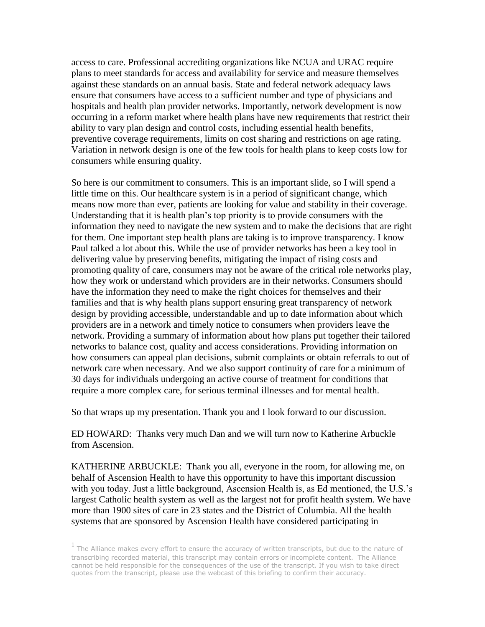access to care. Professional accrediting organizations like NCUA and URAC require plans to meet standards for access and availability for service and measure themselves against these standards on an annual basis. State and federal network adequacy laws ensure that consumers have access to a sufficient number and type of physicians and hospitals and health plan provider networks. Importantly, network development is now occurring in a reform market where health plans have new requirements that restrict their ability to vary plan design and control costs, including essential health benefits, preventive coverage requirements, limits on cost sharing and restrictions on age rating. Variation in network design is one of the few tools for health plans to keep costs low for consumers while ensuring quality.

So here is our commitment to consumers. This is an important slide, so I will spend a little time on this. Our healthcare system is in a period of significant change, which means now more than ever, patients are looking for value and stability in their coverage. Understanding that it is health plan's top priority is to provide consumers with the information they need to navigate the new system and to make the decisions that are right for them. One important step health plans are taking is to improve transparency. I know Paul talked a lot about this. While the use of provider networks has been a key tool in delivering value by preserving benefits, mitigating the impact of rising costs and promoting quality of care, consumers may not be aware of the critical role networks play, how they work or understand which providers are in their networks. Consumers should have the information they need to make the right choices for themselves and their families and that is why health plans support ensuring great transparency of network design by providing accessible, understandable and up to date information about which providers are in a network and timely notice to consumers when providers leave the network. Providing a summary of information about how plans put together their tailored networks to balance cost, quality and access considerations. Providing information on how consumers can appeal plan decisions, submit complaints or obtain referrals to out of network care when necessary. And we also support continuity of care for a minimum of 30 days for individuals undergoing an active course of treatment for conditions that require a more complex care, for serious terminal illnesses and for mental health.

So that wraps up my presentation. Thank you and I look forward to our discussion.

ED HOWARD: Thanks very much Dan and we will turn now to Katherine Arbuckle from Ascension.

KATHERINE ARBUCKLE: Thank you all, everyone in the room, for allowing me, on behalf of Ascension Health to have this opportunity to have this important discussion with you today. Just a little background, Ascension Health is, as Ed mentioned, the U.S.'s largest Catholic health system as well as the largest not for profit health system. We have more than 1900 sites of care in 23 states and the District of Columbia. All the health systems that are sponsored by Ascension Health have considered participating in

 $<sup>1</sup>$  The Alliance makes every effort to ensure the accuracy of written transcripts, but due to the nature of</sup> transcribing recorded material, this transcript may contain errors or incomplete content. The Alliance cannot be held responsible for the consequences of the use of the transcript. If you wish to take direct quotes from the transcript, please use the webcast of this briefing to confirm their accuracy.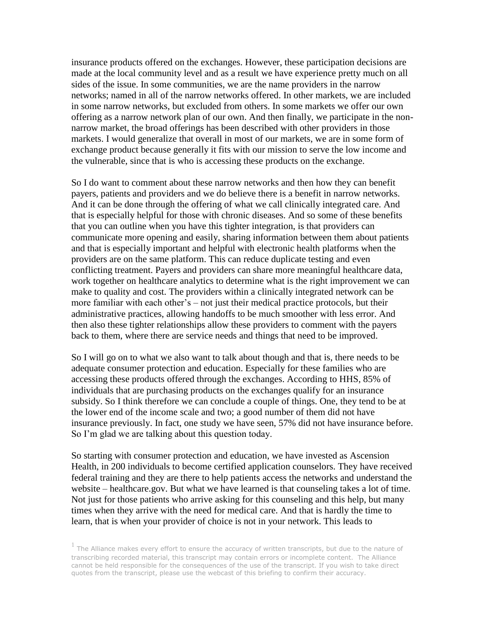insurance products offered on the exchanges. However, these participation decisions are made at the local community level and as a result we have experience pretty much on all sides of the issue. In some communities, we are the name providers in the narrow networks; named in all of the narrow networks offered. In other markets, we are included in some narrow networks, but excluded from others. In some markets we offer our own offering as a narrow network plan of our own. And then finally, we participate in the nonnarrow market, the broad offerings has been described with other providers in those markets. I would generalize that overall in most of our markets, we are in some form of exchange product because generally it fits with our mission to serve the low income and the vulnerable, since that is who is accessing these products on the exchange.

So I do want to comment about these narrow networks and then how they can benefit payers, patients and providers and we do believe there is a benefit in narrow networks. And it can be done through the offering of what we call clinically integrated care. And that is especially helpful for those with chronic diseases. And so some of these benefits that you can outline when you have this tighter integration, is that providers can communicate more opening and easily, sharing information between them about patients and that is especially important and helpful with electronic health platforms when the providers are on the same platform. This can reduce duplicate testing and even conflicting treatment. Payers and providers can share more meaningful healthcare data, work together on healthcare analytics to determine what is the right improvement we can make to quality and cost. The providers within a clinically integrated network can be more familiar with each other's – not just their medical practice protocols, but their administrative practices, allowing handoffs to be much smoother with less error. And then also these tighter relationships allow these providers to comment with the payers back to them, where there are service needs and things that need to be improved.

So I will go on to what we also want to talk about though and that is, there needs to be adequate consumer protection and education. Especially for these families who are accessing these products offered through the exchanges. According to HHS, 85% of individuals that are purchasing products on the exchanges qualify for an insurance subsidy. So I think therefore we can conclude a couple of things. One, they tend to be at the lower end of the income scale and two; a good number of them did not have insurance previously. In fact, one study we have seen, 57% did not have insurance before. So I'm glad we are talking about this question today.

So starting with consumer protection and education, we have invested as Ascension Health, in 200 individuals to become certified application counselors. They have received federal training and they are there to help patients access the networks and understand the website – healthcare.gov. But what we have learned is that counseling takes a lot of time. Not just for those patients who arrive asking for this counseling and this help, but many times when they arrive with the need for medical care. And that is hardly the time to learn, that is when your provider of choice is not in your network. This leads to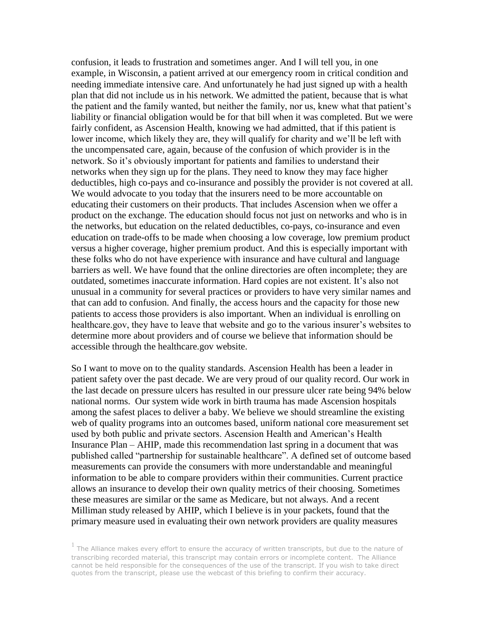confusion, it leads to frustration and sometimes anger. And I will tell you, in one example, in Wisconsin, a patient arrived at our emergency room in critical condition and needing immediate intensive care. And unfortunately he had just signed up with a health plan that did not include us in his network. We admitted the patient, because that is what the patient and the family wanted, but neither the family, nor us, knew what that patient's liability or financial obligation would be for that bill when it was completed. But we were fairly confident, as Ascension Health, knowing we had admitted, that if this patient is lower income, which likely they are, they will qualify for charity and we'll be left with the uncompensated care, again, because of the confusion of which provider is in the network. So it's obviously important for patients and families to understand their networks when they sign up for the plans. They need to know they may face higher deductibles, high co-pays and co-insurance and possibly the provider is not covered at all. We would advocate to you today that the insurers need to be more accountable on educating their customers on their products. That includes Ascension when we offer a product on the exchange. The education should focus not just on networks and who is in the networks, but education on the related deductibles, co-pays, co-insurance and even education on trade-offs to be made when choosing a low coverage, low premium product versus a higher coverage, higher premium product. And this is especially important with these folks who do not have experience with insurance and have cultural and language barriers as well. We have found that the online directories are often incomplete; they are outdated, sometimes inaccurate information. Hard copies are not existent. It's also not unusual in a community for several practices or providers to have very similar names and that can add to confusion. And finally, the access hours and the capacity for those new patients to access those providers is also important. When an individual is enrolling on healthcare.gov, they have to leave that website and go to the various insurer's websites to determine more about providers and of course we believe that information should be accessible through the healthcare.gov website.

So I want to move on to the quality standards. Ascension Health has been a leader in patient safety over the past decade. We are very proud of our quality record. Our work in the last decade on pressure ulcers has resulted in our pressure ulcer rate being 94% below national norms. Our system wide work in birth trauma has made Ascension hospitals among the safest places to deliver a baby. We believe we should streamline the existing web of quality programs into an outcomes based, uniform national core measurement set used by both public and private sectors. Ascension Health and American's Health Insurance Plan – AHIP, made this recommendation last spring in a document that was published called "partnership for sustainable healthcare". A defined set of outcome based measurements can provide the consumers with more understandable and meaningful information to be able to compare providers within their communities. Current practice allows an insurance to develop their own quality metrics of their choosing. Sometimes these measures are similar or the same as Medicare, but not always. And a recent Milliman study released by AHIP, which I believe is in your packets, found that the primary measure used in evaluating their own network providers are quality measures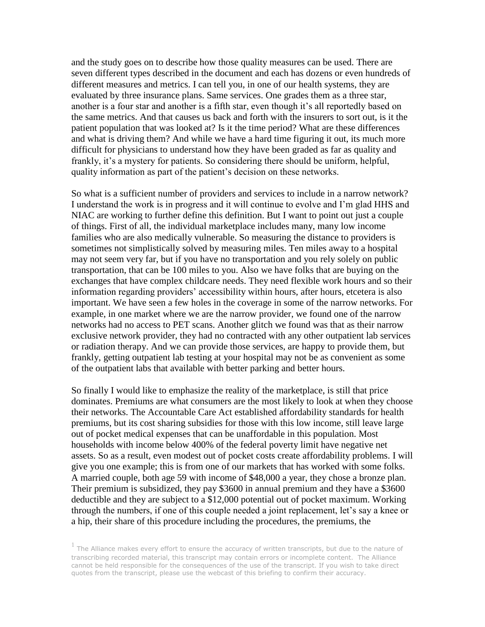and the study goes on to describe how those quality measures can be used. There are seven different types described in the document and each has dozens or even hundreds of different measures and metrics. I can tell you, in one of our health systems, they are evaluated by three insurance plans. Same services. One grades them as a three star, another is a four star and another is a fifth star, even though it's all reportedly based on the same metrics. And that causes us back and forth with the insurers to sort out, is it the patient population that was looked at? Is it the time period? What are these differences and what is driving them? And while we have a hard time figuring it out, its much more difficult for physicians to understand how they have been graded as far as quality and frankly, it's a mystery for patients. So considering there should be uniform, helpful, quality information as part of the patient's decision on these networks.

So what is a sufficient number of providers and services to include in a narrow network? I understand the work is in progress and it will continue to evolve and I'm glad HHS and NIAC are working to further define this definition. But I want to point out just a couple of things. First of all, the individual marketplace includes many, many low income families who are also medically vulnerable. So measuring the distance to providers is sometimes not simplistically solved by measuring miles. Ten miles away to a hospital may not seem very far, but if you have no transportation and you rely solely on public transportation, that can be 100 miles to you. Also we have folks that are buying on the exchanges that have complex childcare needs. They need flexible work hours and so their information regarding providers' accessibility within hours, after hours, etcetera is also important. We have seen a few holes in the coverage in some of the narrow networks. For example, in one market where we are the narrow provider, we found one of the narrow networks had no access to PET scans. Another glitch we found was that as their narrow exclusive network provider, they had no contracted with any other outpatient lab services or radiation therapy. And we can provide those services, are happy to provide them, but frankly, getting outpatient lab testing at your hospital may not be as convenient as some of the outpatient labs that available with better parking and better hours.

So finally I would like to emphasize the reality of the marketplace, is still that price dominates. Premiums are what consumers are the most likely to look at when they choose their networks. The Accountable Care Act established affordability standards for health premiums, but its cost sharing subsidies for those with this low income, still leave large out of pocket medical expenses that can be unaffordable in this population. Most households with income below 400% of the federal poverty limit have negative net assets. So as a result, even modest out of pocket costs create affordability problems. I will give you one example; this is from one of our markets that has worked with some folks. A married couple, both age 59 with income of \$48,000 a year, they chose a bronze plan. Their premium is subsidized, they pay \$3600 in annual premium and they have a \$3600 deductible and they are subject to a \$12,000 potential out of pocket maximum. Working through the numbers, if one of this couple needed a joint replacement, let's say a knee or a hip, their share of this procedure including the procedures, the premiums, the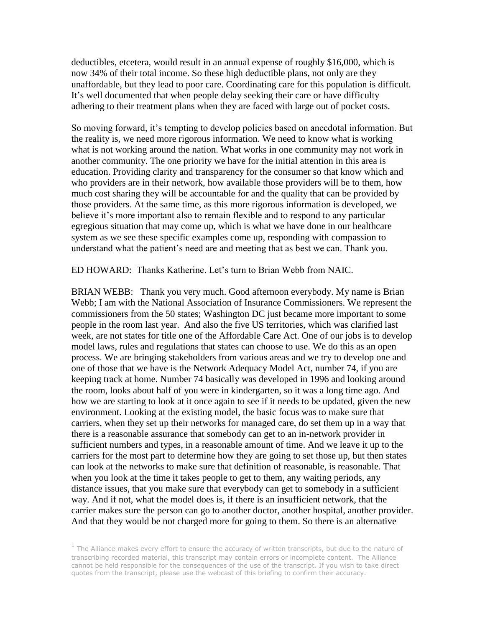deductibles, etcetera, would result in an annual expense of roughly \$16,000, which is now 34% of their total income. So these high deductible plans, not only are they unaffordable, but they lead to poor care. Coordinating care for this population is difficult. It's well documented that when people delay seeking their care or have difficulty adhering to their treatment plans when they are faced with large out of pocket costs.

So moving forward, it's tempting to develop policies based on anecdotal information. But the reality is, we need more rigorous information. We need to know what is working what is not working around the nation. What works in one community may not work in another community. The one priority we have for the initial attention in this area is education. Providing clarity and transparency for the consumer so that know which and who providers are in their network, how available those providers will be to them, how much cost sharing they will be accountable for and the quality that can be provided by those providers. At the same time, as this more rigorous information is developed, we believe it's more important also to remain flexible and to respond to any particular egregious situation that may come up, which is what we have done in our healthcare system as we see these specific examples come up, responding with compassion to understand what the patient's need are and meeting that as best we can. Thank you.

ED HOWARD: Thanks Katherine. Let's turn to Brian Webb from NAIC.

BRIAN WEBB: Thank you very much. Good afternoon everybody. My name is Brian Webb; I am with the National Association of Insurance Commissioners. We represent the commissioners from the 50 states; Washington DC just became more important to some people in the room last year. And also the five US territories, which was clarified last week, are not states for title one of the Affordable Care Act. One of our jobs is to develop model laws, rules and regulations that states can choose to use. We do this as an open process. We are bringing stakeholders from various areas and we try to develop one and one of those that we have is the Network Adequacy Model Act, number 74, if you are keeping track at home. Number 74 basically was developed in 1996 and looking around the room, looks about half of you were in kindergarten, so it was a long time ago. And how we are starting to look at it once again to see if it needs to be updated, given the new environment. Looking at the existing model, the basic focus was to make sure that carriers, when they set up their networks for managed care, do set them up in a way that there is a reasonable assurance that somebody can get to an in-network provider in sufficient numbers and types, in a reasonable amount of time. And we leave it up to the carriers for the most part to determine how they are going to set those up, but then states can look at the networks to make sure that definition of reasonable, is reasonable. That when you look at the time it takes people to get to them, any waiting periods, any distance issues, that you make sure that everybody can get to somebody in a sufficient way. And if not, what the model does is, if there is an insufficient network, that the carrier makes sure the person can go to another doctor, another hospital, another provider. And that they would be not charged more for going to them. So there is an alternative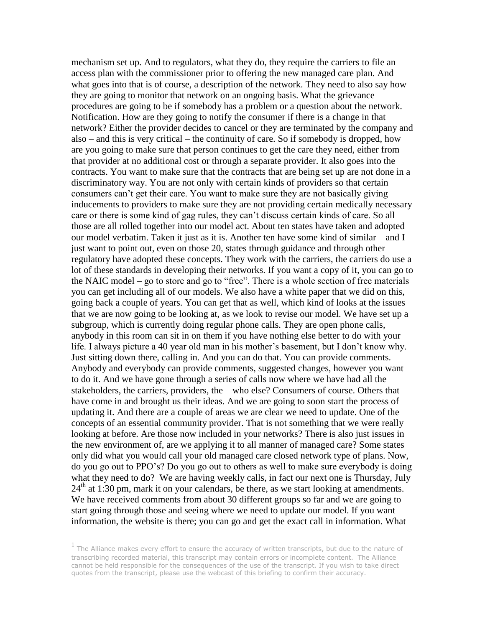mechanism set up. And to regulators, what they do, they require the carriers to file an access plan with the commissioner prior to offering the new managed care plan. And what goes into that is of course, a description of the network. They need to also say how they are going to monitor that network on an ongoing basis. What the grievance procedures are going to be if somebody has a problem or a question about the network. Notification. How are they going to notify the consumer if there is a change in that network? Either the provider decides to cancel or they are terminated by the company and also – and this is very critical – the continuity of care. So if somebody is dropped, how are you going to make sure that person continues to get the care they need, either from that provider at no additional cost or through a separate provider. It also goes into the contracts. You want to make sure that the contracts that are being set up are not done in a discriminatory way. You are not only with certain kinds of providers so that certain consumers can't get their care. You want to make sure they are not basically giving inducements to providers to make sure they are not providing certain medically necessary care or there is some kind of gag rules, they can't discuss certain kinds of care. So all those are all rolled together into our model act. About ten states have taken and adopted our model verbatim. Taken it just as it is. Another ten have some kind of similar – and I just want to point out, even on those 20, states through guidance and through other regulatory have adopted these concepts. They work with the carriers, the carriers do use a lot of these standards in developing their networks. If you want a copy of it, you can go to the NAIC model – go to store and go to "free". There is a whole section of free materials you can get including all of our models. We also have a white paper that we did on this, going back a couple of years. You can get that as well, which kind of looks at the issues that we are now going to be looking at, as we look to revise our model. We have set up a subgroup, which is currently doing regular phone calls. They are open phone calls, anybody in this room can sit in on them if you have nothing else better to do with your life. I always picture a 40 year old man in his mother's basement, but I don't know why. Just sitting down there, calling in. And you can do that. You can provide comments. Anybody and everybody can provide comments, suggested changes, however you want to do it. And we have gone through a series of calls now where we have had all the stakeholders, the carriers, providers, the – who else? Consumers of course. Others that have come in and brought us their ideas. And we are going to soon start the process of updating it. And there are a couple of areas we are clear we need to update. One of the concepts of an essential community provider. That is not something that we were really looking at before. Are those now included in your networks? There is also just issues in the new environment of, are we applying it to all manner of managed care? Some states only did what you would call your old managed care closed network type of plans. Now, do you go out to PPO's? Do you go out to others as well to make sure everybody is doing what they need to do? We are having weekly calls, in fact our next one is Thursday, July  $24<sup>th</sup>$  at 1:30 pm, mark it on your calendars, be there, as we start looking at amendments. We have received comments from about 30 different groups so far and we are going to start going through those and seeing where we need to update our model. If you want information, the website is there; you can go and get the exact call in information. What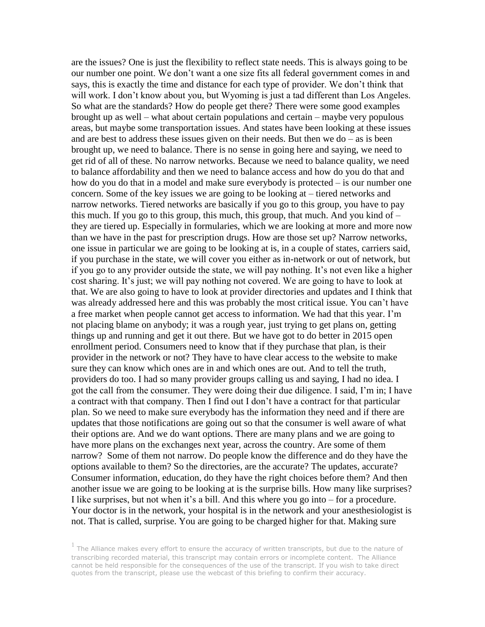are the issues? One is just the flexibility to reflect state needs. This is always going to be our number one point. We don't want a one size fits all federal government comes in and says, this is exactly the time and distance for each type of provider. We don't think that will work. I don't know about you, but Wyoming is just a tad different than Los Angeles. So what are the standards? How do people get there? There were some good examples brought up as well – what about certain populations and certain – maybe very populous areas, but maybe some transportation issues. And states have been looking at these issues and are best to address these issues given on their needs. But then we do  $-$  as is been brought up, we need to balance. There is no sense in going here and saying, we need to get rid of all of these. No narrow networks. Because we need to balance quality, we need to balance affordability and then we need to balance access and how do you do that and how do you do that in a model and make sure everybody is protected – is our number one concern. Some of the key issues we are going to be looking at – tiered networks and narrow networks. Tiered networks are basically if you go to this group, you have to pay this much. If you go to this group, this much, this group, that much. And you kind of  $$ they are tiered up. Especially in formularies, which we are looking at more and more now than we have in the past for prescription drugs. How are those set up? Narrow networks, one issue in particular we are going to be looking at is, in a couple of states, carriers said, if you purchase in the state, we will cover you either as in-network or out of network, but if you go to any provider outside the state, we will pay nothing. It's not even like a higher cost sharing. It's just; we will pay nothing not covered. We are going to have to look at that. We are also going to have to look at provider directories and updates and I think that was already addressed here and this was probably the most critical issue. You can't have a free market when people cannot get access to information. We had that this year. I'm not placing blame on anybody; it was a rough year, just trying to get plans on, getting things up and running and get it out there. But we have got to do better in 2015 open enrollment period. Consumers need to know that if they purchase that plan, is their provider in the network or not? They have to have clear access to the website to make sure they can know which ones are in and which ones are out. And to tell the truth, providers do too. I had so many provider groups calling us and saying, I had no idea. I got the call from the consumer. They were doing their due diligence. I said, I'm in; I have a contract with that company. Then I find out I don't have a contract for that particular plan. So we need to make sure everybody has the information they need and if there are updates that those notifications are going out so that the consumer is well aware of what their options are. And we do want options. There are many plans and we are going to have more plans on the exchanges next year, across the country. Are some of them narrow? Some of them not narrow. Do people know the difference and do they have the options available to them? So the directories, are the accurate? The updates, accurate? Consumer information, education, do they have the right choices before them? And then another issue we are going to be looking at is the surprise bills. How many like surprises? I like surprises, but not when it's a bill. And this where you go into – for a procedure. Your doctor is in the network, your hospital is in the network and your anesthesiologist is not. That is called, surprise. You are going to be charged higher for that. Making sure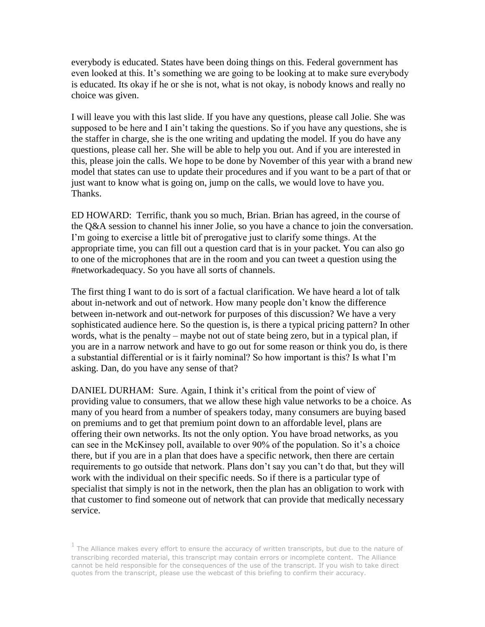everybody is educated. States have been doing things on this. Federal government has even looked at this. It's something we are going to be looking at to make sure everybody is educated. Its okay if he or she is not, what is not okay, is nobody knows and really no choice was given.

I will leave you with this last slide. If you have any questions, please call Jolie. She was supposed to be here and I ain't taking the questions. So if you have any questions, she is the staffer in charge, she is the one writing and updating the model. If you do have any questions, please call her. She will be able to help you out. And if you are interested in this, please join the calls. We hope to be done by November of this year with a brand new model that states can use to update their procedures and if you want to be a part of that or just want to know what is going on, jump on the calls, we would love to have you. Thanks.

ED HOWARD: Terrific, thank you so much, Brian. Brian has agreed, in the course of the Q&A session to channel his inner Jolie, so you have a chance to join the conversation. I'm going to exercise a little bit of prerogative just to clarify some things. At the appropriate time, you can fill out a question card that is in your packet. You can also go to one of the microphones that are in the room and you can tweet a question using the #networkadequacy. So you have all sorts of channels.

The first thing I want to do is sort of a factual clarification. We have heard a lot of talk about in-network and out of network. How many people don't know the difference between in-network and out-network for purposes of this discussion? We have a very sophisticated audience here. So the question is, is there a typical pricing pattern? In other words, what is the penalty – maybe not out of state being zero, but in a typical plan, if you are in a narrow network and have to go out for some reason or think you do, is there a substantial differential or is it fairly nominal? So how important is this? Is what I'm asking. Dan, do you have any sense of that?

DANIEL DURHAM: Sure. Again, I think it's critical from the point of view of providing value to consumers, that we allow these high value networks to be a choice. As many of you heard from a number of speakers today, many consumers are buying based on premiums and to get that premium point down to an affordable level, plans are offering their own networks. Its not the only option. You have broad networks, as you can see in the McKinsey poll, available to over 90% of the population. So it's a choice there, but if you are in a plan that does have a specific network, then there are certain requirements to go outside that network. Plans don't say you can't do that, but they will work with the individual on their specific needs. So if there is a particular type of specialist that simply is not in the network, then the plan has an obligation to work with that customer to find someone out of network that can provide that medically necessary service.

 $<sup>1</sup>$  The Alliance makes every effort to ensure the accuracy of written transcripts, but due to the nature of</sup> transcribing recorded material, this transcript may contain errors or incomplete content. The Alliance cannot be held responsible for the consequences of the use of the transcript. If you wish to take direct quotes from the transcript, please use the webcast of this briefing to confirm their accuracy.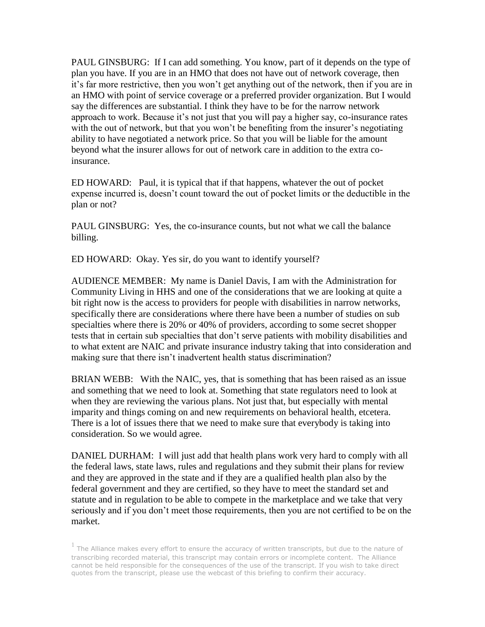PAUL GINSBURG: If I can add something. You know, part of it depends on the type of plan you have. If you are in an HMO that does not have out of network coverage, then it's far more restrictive, then you won't get anything out of the network, then if you are in an HMO with point of service coverage or a preferred provider organization. But I would say the differences are substantial. I think they have to be for the narrow network approach to work. Because it's not just that you will pay a higher say, co-insurance rates with the out of network, but that you won't be benefiting from the insurer's negotiating ability to have negotiated a network price. So that you will be liable for the amount beyond what the insurer allows for out of network care in addition to the extra coinsurance.

ED HOWARD: Paul, it is typical that if that happens, whatever the out of pocket expense incurred is, doesn't count toward the out of pocket limits or the deductible in the plan or not?

PAUL GINSBURG: Yes, the co-insurance counts, but not what we call the balance billing.

ED HOWARD: Okay. Yes sir, do you want to identify yourself?

AUDIENCE MEMBER: My name is Daniel Davis, I am with the Administration for Community Living in HHS and one of the considerations that we are looking at quite a bit right now is the access to providers for people with disabilities in narrow networks, specifically there are considerations where there have been a number of studies on sub specialties where there is 20% or 40% of providers, according to some secret shopper tests that in certain sub specialties that don't serve patients with mobility disabilities and to what extent are NAIC and private insurance industry taking that into consideration and making sure that there isn't inadvertent health status discrimination?

BRIAN WEBB: With the NAIC, yes, that is something that has been raised as an issue and something that we need to look at. Something that state regulators need to look at when they are reviewing the various plans. Not just that, but especially with mental imparity and things coming on and new requirements on behavioral health, etcetera. There is a lot of issues there that we need to make sure that everybody is taking into consideration. So we would agree.

DANIEL DURHAM: I will just add that health plans work very hard to comply with all the federal laws, state laws, rules and regulations and they submit their plans for review and they are approved in the state and if they are a qualified health plan also by the federal government and they are certified, so they have to meet the standard set and statute and in regulation to be able to compete in the marketplace and we take that very seriously and if you don't meet those requirements, then you are not certified to be on the market.

 $<sup>1</sup>$  The Alliance makes every effort to ensure the accuracy of written transcripts, but due to the nature of</sup> transcribing recorded material, this transcript may contain errors or incomplete content. The Alliance cannot be held responsible for the consequences of the use of the transcript. If you wish to take direct quotes from the transcript, please use the webcast of this briefing to confirm their accuracy.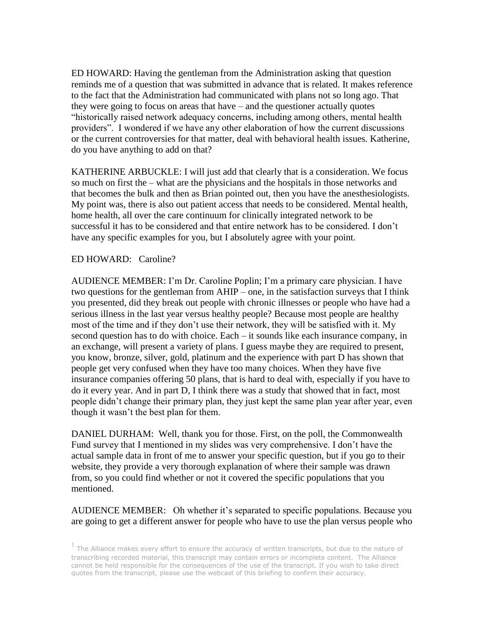ED HOWARD: Having the gentleman from the Administration asking that question reminds me of a question that was submitted in advance that is related. It makes reference to the fact that the Administration had communicated with plans not so long ago. That they were going to focus on areas that have – and the questioner actually quotes "historically raised network adequacy concerns, including among others, mental health providers". I wondered if we have any other elaboration of how the current discussions or the current controversies for that matter, deal with behavioral health issues. Katherine, do you have anything to add on that?

KATHERINE ARBUCKLE: I will just add that clearly that is a consideration. We focus so much on first the – what are the physicians and the hospitals in those networks and that becomes the bulk and then as Brian pointed out, then you have the anesthesiologists. My point was, there is also out patient access that needs to be considered. Mental health, home health, all over the care continuum for clinically integrated network to be successful it has to be considered and that entire network has to be considered. I don't have any specific examples for you, but I absolutely agree with your point.

# ED HOWARD: Caroline?

AUDIENCE MEMBER: I'm Dr. Caroline Poplin; I'm a primary care physician. I have two questions for the gentleman from AHIP – one, in the satisfaction surveys that I think you presented, did they break out people with chronic illnesses or people who have had a serious illness in the last year versus healthy people? Because most people are healthy most of the time and if they don't use their network, they will be satisfied with it. My second question has to do with choice. Each – it sounds like each insurance company, in an exchange, will present a variety of plans. I guess maybe they are required to present, you know, bronze, silver, gold, platinum and the experience with part D has shown that people get very confused when they have too many choices. When they have five insurance companies offering 50 plans, that is hard to deal with, especially if you have to do it every year. And in part D, I think there was a study that showed that in fact, most people didn't change their primary plan, they just kept the same plan year after year, even though it wasn't the best plan for them.

DANIEL DURHAM: Well, thank you for those. First, on the poll, the Commonwealth Fund survey that I mentioned in my slides was very comprehensive. I don't have the actual sample data in front of me to answer your specific question, but if you go to their website, they provide a very thorough explanation of where their sample was drawn from, so you could find whether or not it covered the specific populations that you mentioned.

# AUDIENCE MEMBER: Oh whether it's separated to specific populations. Because you are going to get a different answer for people who have to use the plan versus people who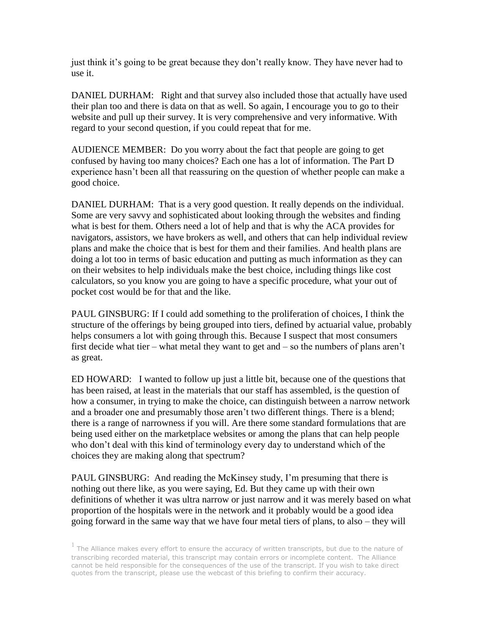just think it's going to be great because they don't really know. They have never had to use it.

DANIEL DURHAM: Right and that survey also included those that actually have used their plan too and there is data on that as well. So again, I encourage you to go to their website and pull up their survey. It is very comprehensive and very informative. With regard to your second question, if you could repeat that for me.

AUDIENCE MEMBER: Do you worry about the fact that people are going to get confused by having too many choices? Each one has a lot of information. The Part D experience hasn't been all that reassuring on the question of whether people can make a good choice.

DANIEL DURHAM: That is a very good question. It really depends on the individual. Some are very savvy and sophisticated about looking through the websites and finding what is best for them. Others need a lot of help and that is why the ACA provides for navigators, assistors, we have brokers as well, and others that can help individual review plans and make the choice that is best for them and their families. And health plans are doing a lot too in terms of basic education and putting as much information as they can on their websites to help individuals make the best choice, including things like cost calculators, so you know you are going to have a specific procedure, what your out of pocket cost would be for that and the like.

PAUL GINSBURG: If I could add something to the proliferation of choices, I think the structure of the offerings by being grouped into tiers, defined by actuarial value, probably helps consumers a lot with going through this. Because I suspect that most consumers first decide what tier – what metal they want to get and – so the numbers of plans aren't as great.

ED HOWARD: I wanted to follow up just a little bit, because one of the questions that has been raised, at least in the materials that our staff has assembled, is the question of how a consumer, in trying to make the choice, can distinguish between a narrow network and a broader one and presumably those aren't two different things. There is a blend; there is a range of narrowness if you will. Are there some standard formulations that are being used either on the marketplace websites or among the plans that can help people who don't deal with this kind of terminology every day to understand which of the choices they are making along that spectrum?

PAUL GINSBURG: And reading the McKinsey study, I'm presuming that there is nothing out there like, as you were saying, Ed. But they came up with their own definitions of whether it was ultra narrow or just narrow and it was merely based on what proportion of the hospitals were in the network and it probably would be a good idea going forward in the same way that we have four metal tiers of plans, to also – they will

 $<sup>1</sup>$  The Alliance makes every effort to ensure the accuracy of written transcripts, but due to the nature of</sup> transcribing recorded material, this transcript may contain errors or incomplete content. The Alliance cannot be held responsible for the consequences of the use of the transcript. If you wish to take direct quotes from the transcript, please use the webcast of this briefing to confirm their accuracy.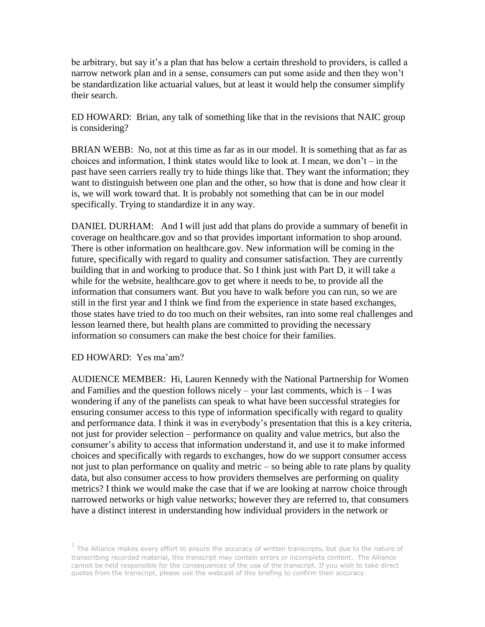be arbitrary, but say it's a plan that has below a certain threshold to providers, is called a narrow network plan and in a sense, consumers can put some aside and then they won't be standardization like actuarial values, but at least it would help the consumer simplify their search.

ED HOWARD: Brian, any talk of something like that in the revisions that NAIC group is considering?

BRIAN WEBB: No, not at this time as far as in our model. It is something that as far as choices and information, I think states would like to look at. I mean, we don't – in the past have seen carriers really try to hide things like that. They want the information; they want to distinguish between one plan and the other, so how that is done and how clear it is, we will work toward that. It is probably not something that can be in our model specifically. Trying to standardize it in any way.

DANIEL DURHAM: And I will just add that plans do provide a summary of benefit in coverage on healthcare.gov and so that provides important information to shop around. There is other information on healthcare.gov. New information will be coming in the future, specifically with regard to quality and consumer satisfaction. They are currently building that in and working to produce that. So I think just with Part D, it will take a while for the website, healthcare.gov to get where it needs to be, to provide all the information that consumers want. But you have to walk before you can run, so we are still in the first year and I think we find from the experience in state based exchanges, those states have tried to do too much on their websites, ran into some real challenges and lesson learned there, but health plans are committed to providing the necessary information so consumers can make the best choice for their families.

ED HOWARD: Yes ma'am?

AUDIENCE MEMBER: Hi, Lauren Kennedy with the National Partnership for Women and Families and the question follows nicely – your last comments, which is  $-1$  was wondering if any of the panelists can speak to what have been successful strategies for ensuring consumer access to this type of information specifically with regard to quality and performance data. I think it was in everybody's presentation that this is a key criteria, not just for provider selection – performance on quality and value metrics, but also the consumer's ability to access that information understand it, and use it to make informed choices and specifically with regards to exchanges, how do we support consumer access not just to plan performance on quality and metric – so being able to rate plans by quality data, but also consumer access to how providers themselves are performing on quality metrics? I think we would make the case that if we are looking at narrow choice through narrowed networks or high value networks; however they are referred to, that consumers have a distinct interest in understanding how individual providers in the network or

 $<sup>1</sup>$  The Alliance makes every effort to ensure the accuracy of written transcripts, but due to the nature of</sup> transcribing recorded material, this transcript may contain errors or incomplete content. The Alliance cannot be held responsible for the consequences of the use of the transcript. If you wish to take direct quotes from the transcript, please use the webcast of this briefing to confirm their accuracy.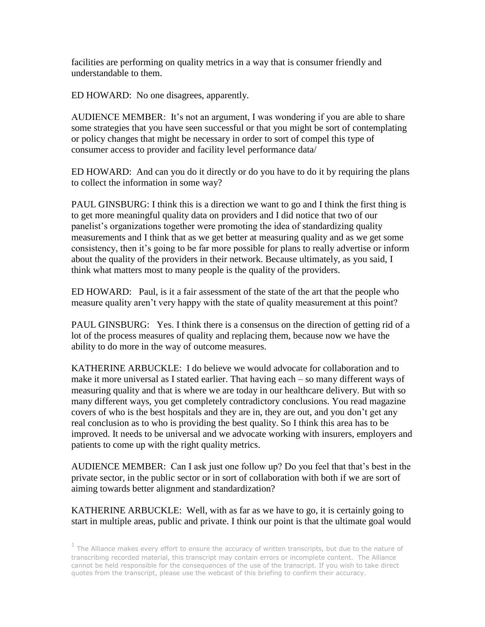facilities are performing on quality metrics in a way that is consumer friendly and understandable to them.

ED HOWARD: No one disagrees, apparently.

AUDIENCE MEMBER: It's not an argument, I was wondering if you are able to share some strategies that you have seen successful or that you might be sort of contemplating or policy changes that might be necessary in order to sort of compel this type of consumer access to provider and facility level performance data/

ED HOWARD: And can you do it directly or do you have to do it by requiring the plans to collect the information in some way?

PAUL GINSBURG: I think this is a direction we want to go and I think the first thing is to get more meaningful quality data on providers and I did notice that two of our panelist's organizations together were promoting the idea of standardizing quality measurements and I think that as we get better at measuring quality and as we get some consistency, then it's going to be far more possible for plans to really advertise or inform about the quality of the providers in their network. Because ultimately, as you said, I think what matters most to many people is the quality of the providers.

ED HOWARD: Paul, is it a fair assessment of the state of the art that the people who measure quality aren't very happy with the state of quality measurement at this point?

PAUL GINSBURG: Yes. I think there is a consensus on the direction of getting rid of a lot of the process measures of quality and replacing them, because now we have the ability to do more in the way of outcome measures.

KATHERINE ARBUCKLE: I do believe we would advocate for collaboration and to make it more universal as I stated earlier. That having each – so many different ways of measuring quality and that is where we are today in our healthcare delivery. But with so many different ways, you get completely contradictory conclusions. You read magazine covers of who is the best hospitals and they are in, they are out, and you don't get any real conclusion as to who is providing the best quality. So I think this area has to be improved. It needs to be universal and we advocate working with insurers, employers and patients to come up with the right quality metrics.

AUDIENCE MEMBER: Can I ask just one follow up? Do you feel that that's best in the private sector, in the public sector or in sort of collaboration with both if we are sort of aiming towards better alignment and standardization?

KATHERINE ARBUCKLE: Well, with as far as we have to go, it is certainly going to start in multiple areas, public and private. I think our point is that the ultimate goal would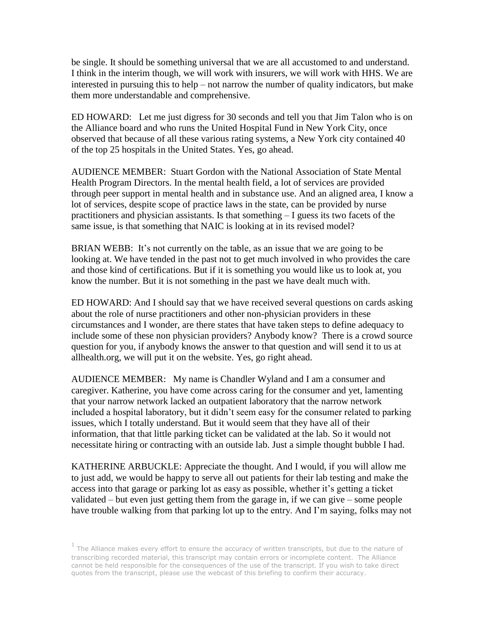be single. It should be something universal that we are all accustomed to and understand. I think in the interim though, we will work with insurers, we will work with HHS. We are interested in pursuing this to help – not narrow the number of quality indicators, but make them more understandable and comprehensive.

ED HOWARD: Let me just digress for 30 seconds and tell you that Jim Talon who is on the Alliance board and who runs the United Hospital Fund in New York City, once observed that because of all these various rating systems, a New York city contained 40 of the top 25 hospitals in the United States. Yes, go ahead.

AUDIENCE MEMBER: Stuart Gordon with the National Association of State Mental Health Program Directors. In the mental health field, a lot of services are provided through peer support in mental health and in substance use. And an aligned area, I know a lot of services, despite scope of practice laws in the state, can be provided by nurse practitioners and physician assistants. Is that something – I guess its two facets of the same issue, is that something that NAIC is looking at in its revised model?

BRIAN WEBB: It's not currently on the table, as an issue that we are going to be looking at. We have tended in the past not to get much involved in who provides the care and those kind of certifications. But if it is something you would like us to look at, you know the number. But it is not something in the past we have dealt much with.

ED HOWARD: And I should say that we have received several questions on cards asking about the role of nurse practitioners and other non-physician providers in these circumstances and I wonder, are there states that have taken steps to define adequacy to include some of these non physician providers? Anybody know? There is a crowd source question for you, if anybody knows the answer to that question and will send it to us at allhealth.org, we will put it on the website. Yes, go right ahead.

AUDIENCE MEMBER: My name is Chandler Wyland and I am a consumer and caregiver. Katherine, you have come across caring for the consumer and yet, lamenting that your narrow network lacked an outpatient laboratory that the narrow network included a hospital laboratory, but it didn't seem easy for the consumer related to parking issues, which I totally understand. But it would seem that they have all of their information, that that little parking ticket can be validated at the lab. So it would not necessitate hiring or contracting with an outside lab. Just a simple thought bubble I had.

KATHERINE ARBUCKLE: Appreciate the thought. And I would, if you will allow me to just add, we would be happy to serve all out patients for their lab testing and make the access into that garage or parking lot as easy as possible, whether it's getting a ticket validated – but even just getting them from the garage in, if we can give – some people have trouble walking from that parking lot up to the entry. And I'm saying, folks may not

 $<sup>1</sup>$  The Alliance makes every effort to ensure the accuracy of written transcripts, but due to the nature of</sup> transcribing recorded material, this transcript may contain errors or incomplete content. The Alliance cannot be held responsible for the consequences of the use of the transcript. If you wish to take direct quotes from the transcript, please use the webcast of this briefing to confirm their accuracy.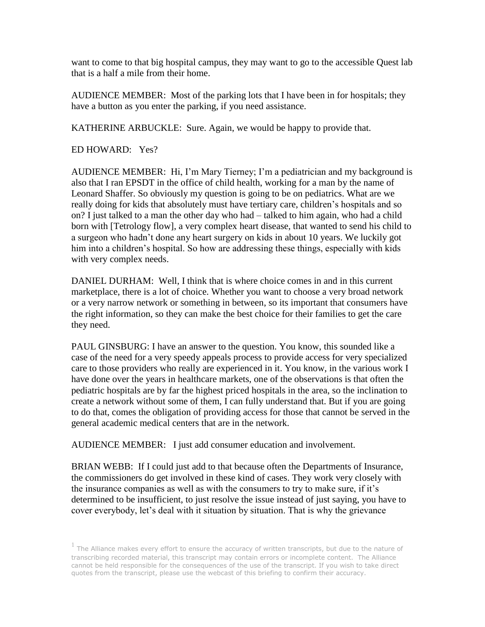want to come to that big hospital campus, they may want to go to the accessible Quest lab that is a half a mile from their home.

AUDIENCE MEMBER: Most of the parking lots that I have been in for hospitals; they have a button as you enter the parking, if you need assistance.

KATHERINE ARBUCKLE: Sure. Again, we would be happy to provide that.

ED HOWARD: Yes?

AUDIENCE MEMBER: Hi, I'm Mary Tierney; I'm a pediatrician and my background is also that I ran EPSDT in the office of child health, working for a man by the name of Leonard Shaffer. So obviously my question is going to be on pediatrics. What are we really doing for kids that absolutely must have tertiary care, children's hospitals and so on? I just talked to a man the other day who had – talked to him again, who had a child born with [Tetrology flow], a very complex heart disease, that wanted to send his child to a surgeon who hadn't done any heart surgery on kids in about 10 years. We luckily got him into a children's hospital. So how are addressing these things, especially with kids with very complex needs.

DANIEL DURHAM: Well, I think that is where choice comes in and in this current marketplace, there is a lot of choice. Whether you want to choose a very broad network or a very narrow network or something in between, so its important that consumers have the right information, so they can make the best choice for their families to get the care they need.

PAUL GINSBURG: I have an answer to the question. You know, this sounded like a case of the need for a very speedy appeals process to provide access for very specialized care to those providers who really are experienced in it. You know, in the various work I have done over the years in healthcare markets, one of the observations is that often the pediatric hospitals are by far the highest priced hospitals in the area, so the inclination to create a network without some of them, I can fully understand that. But if you are going to do that, comes the obligation of providing access for those that cannot be served in the general academic medical centers that are in the network.

AUDIENCE MEMBER: I just add consumer education and involvement.

BRIAN WEBB: If I could just add to that because often the Departments of Insurance, the commissioners do get involved in these kind of cases. They work very closely with the insurance companies as well as with the consumers to try to make sure, if it's determined to be insufficient, to just resolve the issue instead of just saying, you have to cover everybody, let's deal with it situation by situation. That is why the grievance

 $<sup>1</sup>$  The Alliance makes every effort to ensure the accuracy of written transcripts, but due to the nature of</sup> transcribing recorded material, this transcript may contain errors or incomplete content. The Alliance cannot be held responsible for the consequences of the use of the transcript. If you wish to take direct quotes from the transcript, please use the webcast of this briefing to confirm their accuracy.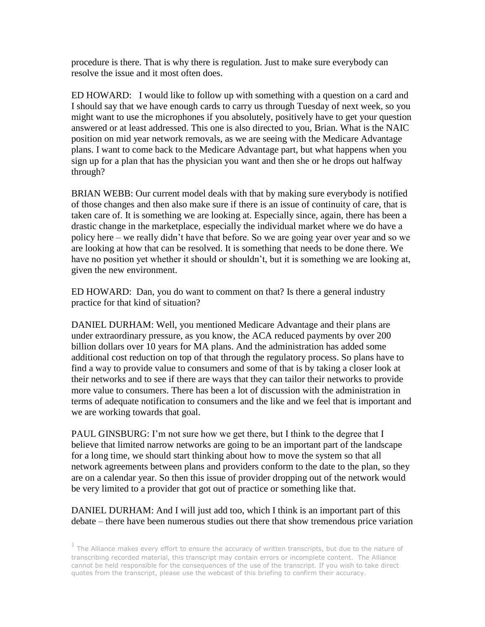procedure is there. That is why there is regulation. Just to make sure everybody can resolve the issue and it most often does.

ED HOWARD: I would like to follow up with something with a question on a card and I should say that we have enough cards to carry us through Tuesday of next week, so you might want to use the microphones if you absolutely, positively have to get your question answered or at least addressed. This one is also directed to you, Brian. What is the NAIC position on mid year network removals, as we are seeing with the Medicare Advantage plans. I want to come back to the Medicare Advantage part, but what happens when you sign up for a plan that has the physician you want and then she or he drops out halfway through?

BRIAN WEBB: Our current model deals with that by making sure everybody is notified of those changes and then also make sure if there is an issue of continuity of care, that is taken care of. It is something we are looking at. Especially since, again, there has been a drastic change in the marketplace, especially the individual market where we do have a policy here – we really didn't have that before. So we are going year over year and so we are looking at how that can be resolved. It is something that needs to be done there. We have no position yet whether it should or shouldn't, but it is something we are looking at, given the new environment.

ED HOWARD: Dan, you do want to comment on that? Is there a general industry practice for that kind of situation?

DANIEL DURHAM: Well, you mentioned Medicare Advantage and their plans are under extraordinary pressure, as you know, the ACA reduced payments by over 200 billion dollars over 10 years for MA plans. And the administration has added some additional cost reduction on top of that through the regulatory process. So plans have to find a way to provide value to consumers and some of that is by taking a closer look at their networks and to see if there are ways that they can tailor their networks to provide more value to consumers. There has been a lot of discussion with the administration in terms of adequate notification to consumers and the like and we feel that is important and we are working towards that goal.

PAUL GINSBURG: I'm not sure how we get there, but I think to the degree that I believe that limited narrow networks are going to be an important part of the landscape for a long time, we should start thinking about how to move the system so that all network agreements between plans and providers conform to the date to the plan, so they are on a calendar year. So then this issue of provider dropping out of the network would be very limited to a provider that got out of practice or something like that.

# DANIEL DURHAM: And I will just add too, which I think is an important part of this debate – there have been numerous studies out there that show tremendous price variation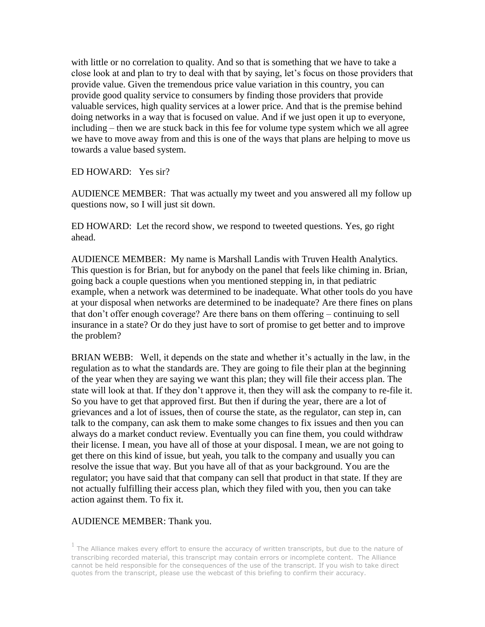with little or no correlation to quality. And so that is something that we have to take a close look at and plan to try to deal with that by saying, let's focus on those providers that provide value. Given the tremendous price value variation in this country, you can provide good quality service to consumers by finding those providers that provide valuable services, high quality services at a lower price. And that is the premise behind doing networks in a way that is focused on value. And if we just open it up to everyone, including – then we are stuck back in this fee for volume type system which we all agree we have to move away from and this is one of the ways that plans are helping to move us towards a value based system.

# ED HOWARD: Yes sir?

AUDIENCE MEMBER: That was actually my tweet and you answered all my follow up questions now, so I will just sit down.

ED HOWARD: Let the record show, we respond to tweeted questions. Yes, go right ahead.

AUDIENCE MEMBER: My name is Marshall Landis with Truven Health Analytics. This question is for Brian, but for anybody on the panel that feels like chiming in. Brian, going back a couple questions when you mentioned stepping in, in that pediatric example, when a network was determined to be inadequate. What other tools do you have at your disposal when networks are determined to be inadequate? Are there fines on plans that don't offer enough coverage? Are there bans on them offering – continuing to sell insurance in a state? Or do they just have to sort of promise to get better and to improve the problem?

BRIAN WEBB: Well, it depends on the state and whether it's actually in the law, in the regulation as to what the standards are. They are going to file their plan at the beginning of the year when they are saying we want this plan; they will file their access plan. The state will look at that. If they don't approve it, then they will ask the company to re-file it. So you have to get that approved first. But then if during the year, there are a lot of grievances and a lot of issues, then of course the state, as the regulator, can step in, can talk to the company, can ask them to make some changes to fix issues and then you can always do a market conduct review. Eventually you can fine them, you could withdraw their license. I mean, you have all of those at your disposal. I mean, we are not going to get there on this kind of issue, but yeah, you talk to the company and usually you can resolve the issue that way. But you have all of that as your background. You are the regulator; you have said that that company can sell that product in that state. If they are not actually fulfilling their access plan, which they filed with you, then you can take action against them. To fix it.

# AUDIENCE MEMBER: Thank you.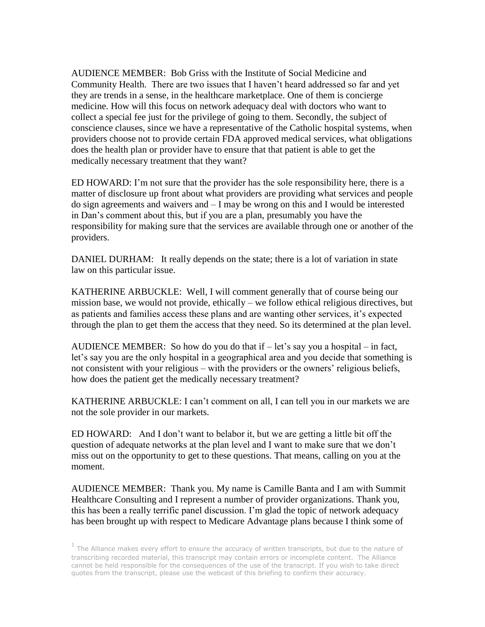AUDIENCE MEMBER: Bob Griss with the Institute of Social Medicine and Community Health. There are two issues that I haven't heard addressed so far and yet they are trends in a sense, in the healthcare marketplace. One of them is concierge medicine. How will this focus on network adequacy deal with doctors who want to collect a special fee just for the privilege of going to them. Secondly, the subject of conscience clauses, since we have a representative of the Catholic hospital systems, when providers choose not to provide certain FDA approved medical services, what obligations does the health plan or provider have to ensure that that patient is able to get the medically necessary treatment that they want?

ED HOWARD: I'm not sure that the provider has the sole responsibility here, there is a matter of disclosure up front about what providers are providing what services and people do sign agreements and waivers and – I may be wrong on this and I would be interested in Dan's comment about this, but if you are a plan, presumably you have the responsibility for making sure that the services are available through one or another of the providers.

DANIEL DURHAM: It really depends on the state; there is a lot of variation in state law on this particular issue.

KATHERINE ARBUCKLE: Well, I will comment generally that of course being our mission base, we would not provide, ethically – we follow ethical religious directives, but as patients and families access these plans and are wanting other services, it's expected through the plan to get them the access that they need. So its determined at the plan level.

AUDIENCE MEMBER: So how do you do that if  $-$  let's say you a hospital  $-$  in fact, let's say you are the only hospital in a geographical area and you decide that something is not consistent with your religious – with the providers or the owners' religious beliefs, how does the patient get the medically necessary treatment?

KATHERINE ARBUCKLE: I can't comment on all, I can tell you in our markets we are not the sole provider in our markets.

ED HOWARD: And I don't want to belabor it, but we are getting a little bit off the question of adequate networks at the plan level and I want to make sure that we don't miss out on the opportunity to get to these questions. That means, calling on you at the moment.

AUDIENCE MEMBER: Thank you. My name is Camille Banta and I am with Summit Healthcare Consulting and I represent a number of provider organizations. Thank you, this has been a really terrific panel discussion. I'm glad the topic of network adequacy has been brought up with respect to Medicare Advantage plans because I think some of

 $<sup>1</sup>$  The Alliance makes every effort to ensure the accuracy of written transcripts, but due to the nature of</sup> transcribing recorded material, this transcript may contain errors or incomplete content. The Alliance cannot be held responsible for the consequences of the use of the transcript. If you wish to take direct quotes from the transcript, please use the webcast of this briefing to confirm their accuracy.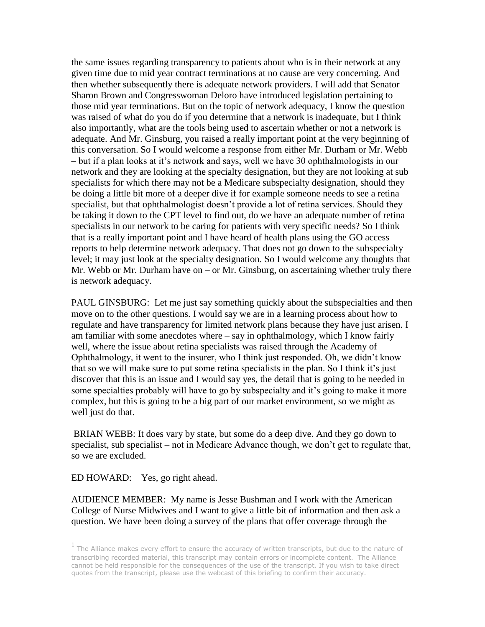the same issues regarding transparency to patients about who is in their network at any given time due to mid year contract terminations at no cause are very concerning. And then whether subsequently there is adequate network providers. I will add that Senator Sharon Brown and Congresswoman Deloro have introduced legislation pertaining to those mid year terminations. But on the topic of network adequacy, I know the question was raised of what do you do if you determine that a network is inadequate, but I think also importantly, what are the tools being used to ascertain whether or not a network is adequate. And Mr. Ginsburg, you raised a really important point at the very beginning of this conversation. So I would welcome a response from either Mr. Durham or Mr. Webb – but if a plan looks at it's network and says, well we have 30 ophthalmologists in our network and they are looking at the specialty designation, but they are not looking at sub specialists for which there may not be a Medicare subspecialty designation, should they be doing a little bit more of a deeper dive if for example someone needs to see a retina specialist, but that ophthalmologist doesn't provide a lot of retina services. Should they be taking it down to the CPT level to find out, do we have an adequate number of retina specialists in our network to be caring for patients with very specific needs? So I think that is a really important point and I have heard of health plans using the GO access reports to help determine network adequacy. That does not go down to the subspecialty level; it may just look at the specialty designation. So I would welcome any thoughts that Mr. Webb or Mr. Durham have on – or Mr. Ginsburg, on ascertaining whether truly there is network adequacy.

PAUL GINSBURG: Let me just say something quickly about the subspecialties and then move on to the other questions. I would say we are in a learning process about how to regulate and have transparency for limited network plans because they have just arisen. I am familiar with some anecdotes where – say in ophthalmology, which I know fairly well, where the issue about retina specialists was raised through the Academy of Ophthalmology, it went to the insurer, who I think just responded. Oh, we didn't know that so we will make sure to put some retina specialists in the plan. So I think it's just discover that this is an issue and I would say yes, the detail that is going to be needed in some specialties probably will have to go by subspecialty and it's going to make it more complex, but this is going to be a big part of our market environment, so we might as well just do that.

BRIAN WEBB: It does vary by state, but some do a deep dive. And they go down to specialist, sub specialist – not in Medicare Advance though, we don't get to regulate that, so we are excluded.

ED HOWARD: Yes, go right ahead.

AUDIENCE MEMBER: My name is Jesse Bushman and I work with the American College of Nurse Midwives and I want to give a little bit of information and then ask a question. We have been doing a survey of the plans that offer coverage through the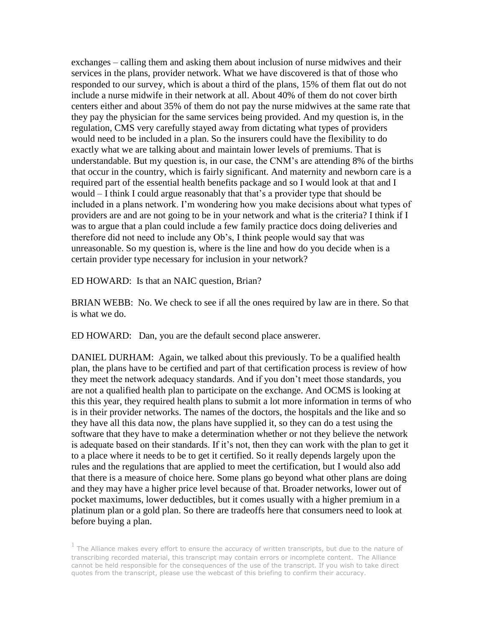exchanges – calling them and asking them about inclusion of nurse midwives and their services in the plans, provider network. What we have discovered is that of those who responded to our survey, which is about a third of the plans, 15% of them flat out do not include a nurse midwife in their network at all. About 40% of them do not cover birth centers either and about 35% of them do not pay the nurse midwives at the same rate that they pay the physician for the same services being provided. And my question is, in the regulation, CMS very carefully stayed away from dictating what types of providers would need to be included in a plan. So the insurers could have the flexibility to do exactly what we are talking about and maintain lower levels of premiums. That is understandable. But my question is, in our case, the CNM's are attending 8% of the births that occur in the country, which is fairly significant. And maternity and newborn care is a required part of the essential health benefits package and so I would look at that and I would – I think I could argue reasonably that that's a provider type that should be included in a plans network. I'm wondering how you make decisions about what types of providers are and are not going to be in your network and what is the criteria? I think if I was to argue that a plan could include a few family practice docs doing deliveries and therefore did not need to include any Ob's, I think people would say that was unreasonable. So my question is, where is the line and how do you decide when is a certain provider type necessary for inclusion in your network?

ED HOWARD: Is that an NAIC question, Brian?

BRIAN WEBB: No. We check to see if all the ones required by law are in there. So that is what we do.

ED HOWARD: Dan, you are the default second place answerer.

DANIEL DURHAM: Again, we talked about this previously. To be a qualified health plan, the plans have to be certified and part of that certification process is review of how they meet the network adequacy standards. And if you don't meet those standards, you are not a qualified health plan to participate on the exchange. And OCMS is looking at this this year, they required health plans to submit a lot more information in terms of who is in their provider networks. The names of the doctors, the hospitals and the like and so they have all this data now, the plans have supplied it, so they can do a test using the software that they have to make a determination whether or not they believe the network is adequate based on their standards. If it's not, then they can work with the plan to get it to a place where it needs to be to get it certified. So it really depends largely upon the rules and the regulations that are applied to meet the certification, but I would also add that there is a measure of choice here. Some plans go beyond what other plans are doing and they may have a higher price level because of that. Broader networks, lower out of pocket maximums, lower deductibles, but it comes usually with a higher premium in a platinum plan or a gold plan. So there are tradeoffs here that consumers need to look at before buying a plan.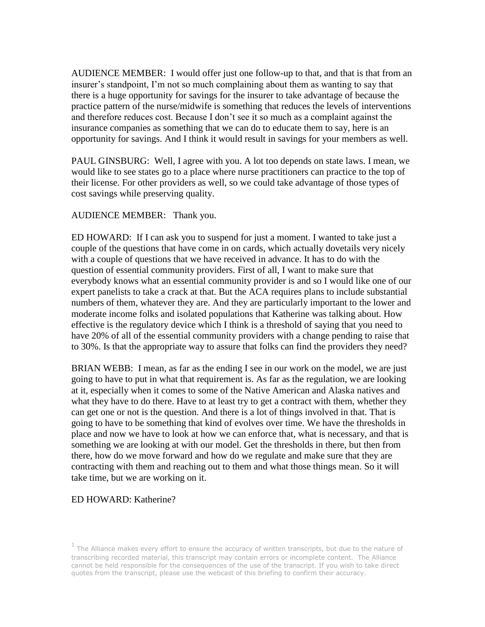AUDIENCE MEMBER: I would offer just one follow-up to that, and that is that from an insurer's standpoint, I'm not so much complaining about them as wanting to say that there is a huge opportunity for savings for the insurer to take advantage of because the practice pattern of the nurse/midwife is something that reduces the levels of interventions and therefore reduces cost. Because I don't see it so much as a complaint against the insurance companies as something that we can do to educate them to say, here is an opportunity for savings. And I think it would result in savings for your members as well.

PAUL GINSBURG: Well, I agree with you. A lot too depends on state laws. I mean, we would like to see states go to a place where nurse practitioners can practice to the top of their license. For other providers as well, so we could take advantage of those types of cost savings while preserving quality.

### AUDIENCE MEMBER: Thank you.

ED HOWARD: If I can ask you to suspend for just a moment. I wanted to take just a couple of the questions that have come in on cards, which actually dovetails very nicely with a couple of questions that we have received in advance. It has to do with the question of essential community providers. First of all, I want to make sure that everybody knows what an essential community provider is and so I would like one of our expert panelists to take a crack at that. But the ACA requires plans to include substantial numbers of them, whatever they are. And they are particularly important to the lower and moderate income folks and isolated populations that Katherine was talking about. How effective is the regulatory device which I think is a threshold of saying that you need to have 20% of all of the essential community providers with a change pending to raise that to 30%. Is that the appropriate way to assure that folks can find the providers they need?

BRIAN WEBB: I mean, as far as the ending I see in our work on the model, we are just going to have to put in what that requirement is. As far as the regulation, we are looking at it, especially when it comes to some of the Native American and Alaska natives and what they have to do there. Have to at least try to get a contract with them, whether they can get one or not is the question. And there is a lot of things involved in that. That is going to have to be something that kind of evolves over time. We have the thresholds in place and now we have to look at how we can enforce that, what is necessary, and that is something we are looking at with our model. Get the thresholds in there, but then from there, how do we move forward and how do we regulate and make sure that they are contracting with them and reaching out to them and what those things mean. So it will take time, but we are working on it.

#### ED HOWARD: Katherine?

 $<sup>1</sup>$  The Alliance makes every effort to ensure the accuracy of written transcripts, but due to the nature of</sup> transcribing recorded material, this transcript may contain errors or incomplete content. The Alliance cannot be held responsible for the consequences of the use of the transcript. If you wish to take direct quotes from the transcript, please use the webcast of this briefing to confirm their accuracy.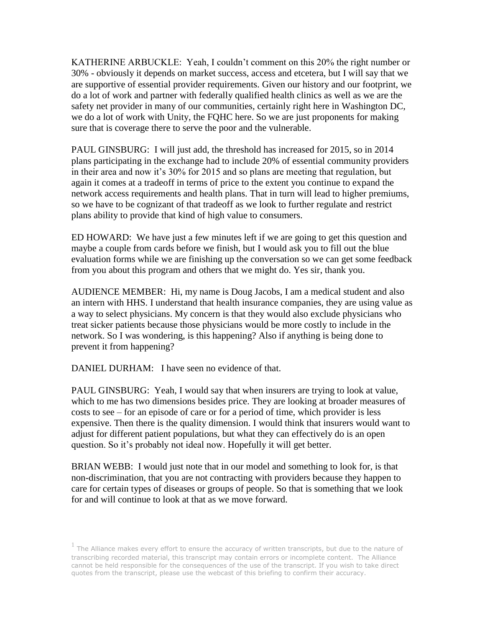KATHERINE ARBUCKLE: Yeah, I couldn't comment on this 20% the right number or 30% - obviously it depends on market success, access and etcetera, but I will say that we are supportive of essential provider requirements. Given our history and our footprint, we do a lot of work and partner with federally qualified health clinics as well as we are the safety net provider in many of our communities, certainly right here in Washington DC, we do a lot of work with Unity, the FQHC here. So we are just proponents for making sure that is coverage there to serve the poor and the vulnerable.

PAUL GINSBURG: I will just add, the threshold has increased for 2015, so in 2014 plans participating in the exchange had to include 20% of essential community providers in their area and now it's 30% for 2015 and so plans are meeting that regulation, but again it comes at a tradeoff in terms of price to the extent you continue to expand the network access requirements and health plans. That in turn will lead to higher premiums, so we have to be cognizant of that tradeoff as we look to further regulate and restrict plans ability to provide that kind of high value to consumers.

ED HOWARD: We have just a few minutes left if we are going to get this question and maybe a couple from cards before we finish, but I would ask you to fill out the blue evaluation forms while we are finishing up the conversation so we can get some feedback from you about this program and others that we might do. Yes sir, thank you.

AUDIENCE MEMBER: Hi, my name is Doug Jacobs, I am a medical student and also an intern with HHS. I understand that health insurance companies, they are using value as a way to select physicians. My concern is that they would also exclude physicians who treat sicker patients because those physicians would be more costly to include in the network. So I was wondering, is this happening? Also if anything is being done to prevent it from happening?

DANIEL DURHAM: I have seen no evidence of that.

PAUL GINSBURG: Yeah, I would say that when insurers are trying to look at value, which to me has two dimensions besides price. They are looking at broader measures of costs to see – for an episode of care or for a period of time, which provider is less expensive. Then there is the quality dimension. I would think that insurers would want to adjust for different patient populations, but what they can effectively do is an open question. So it's probably not ideal now. Hopefully it will get better.

BRIAN WEBB: I would just note that in our model and something to look for, is that non-discrimination, that you are not contracting with providers because they happen to care for certain types of diseases or groups of people. So that is something that we look for and will continue to look at that as we move forward.

 $<sup>1</sup>$  The Alliance makes every effort to ensure the accuracy of written transcripts, but due to the nature of</sup> transcribing recorded material, this transcript may contain errors or incomplete content. The Alliance cannot be held responsible for the consequences of the use of the transcript. If you wish to take direct quotes from the transcript, please use the webcast of this briefing to confirm their accuracy.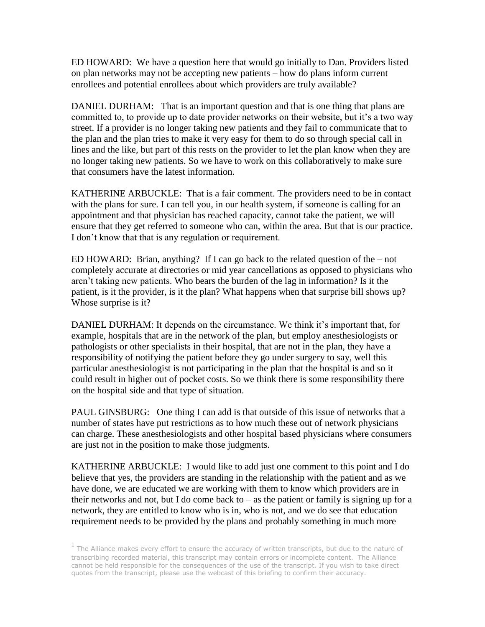ED HOWARD: We have a question here that would go initially to Dan. Providers listed on plan networks may not be accepting new patients – how do plans inform current enrollees and potential enrollees about which providers are truly available?

DANIEL DURHAM: That is an important question and that is one thing that plans are committed to, to provide up to date provider networks on their website, but it's a two way street. If a provider is no longer taking new patients and they fail to communicate that to the plan and the plan tries to make it very easy for them to do so through special call in lines and the like, but part of this rests on the provider to let the plan know when they are no longer taking new patients. So we have to work on this collaboratively to make sure that consumers have the latest information.

KATHERINE ARBUCKLE: That is a fair comment. The providers need to be in contact with the plans for sure. I can tell you, in our health system, if someone is calling for an appointment and that physician has reached capacity, cannot take the patient, we will ensure that they get referred to someone who can, within the area. But that is our practice. I don't know that that is any regulation or requirement.

ED HOWARD: Brian, anything? If I can go back to the related question of the – not completely accurate at directories or mid year cancellations as opposed to physicians who aren't taking new patients. Who bears the burden of the lag in information? Is it the patient, is it the provider, is it the plan? What happens when that surprise bill shows up? Whose surprise is it?

DANIEL DURHAM: It depends on the circumstance. We think it's important that, for example, hospitals that are in the network of the plan, but employ anesthesiologists or pathologists or other specialists in their hospital, that are not in the plan, they have a responsibility of notifying the patient before they go under surgery to say, well this particular anesthesiologist is not participating in the plan that the hospital is and so it could result in higher out of pocket costs. So we think there is some responsibility there on the hospital side and that type of situation.

PAUL GINSBURG: One thing I can add is that outside of this issue of networks that a number of states have put restrictions as to how much these out of network physicians can charge. These anesthesiologists and other hospital based physicians where consumers are just not in the position to make those judgments.

KATHERINE ARBUCKLE: I would like to add just one comment to this point and I do believe that yes, the providers are standing in the relationship with the patient and as we have done, we are educated we are working with them to know which providers are in their networks and not, but I do come back to  $-$  as the patient or family is signing up for a network, they are entitled to know who is in, who is not, and we do see that education requirement needs to be provided by the plans and probably something in much more

 $<sup>1</sup>$  The Alliance makes every effort to ensure the accuracy of written transcripts, but due to the nature of</sup> transcribing recorded material, this transcript may contain errors or incomplete content. The Alliance cannot be held responsible for the consequences of the use of the transcript. If you wish to take direct quotes from the transcript, please use the webcast of this briefing to confirm their accuracy.